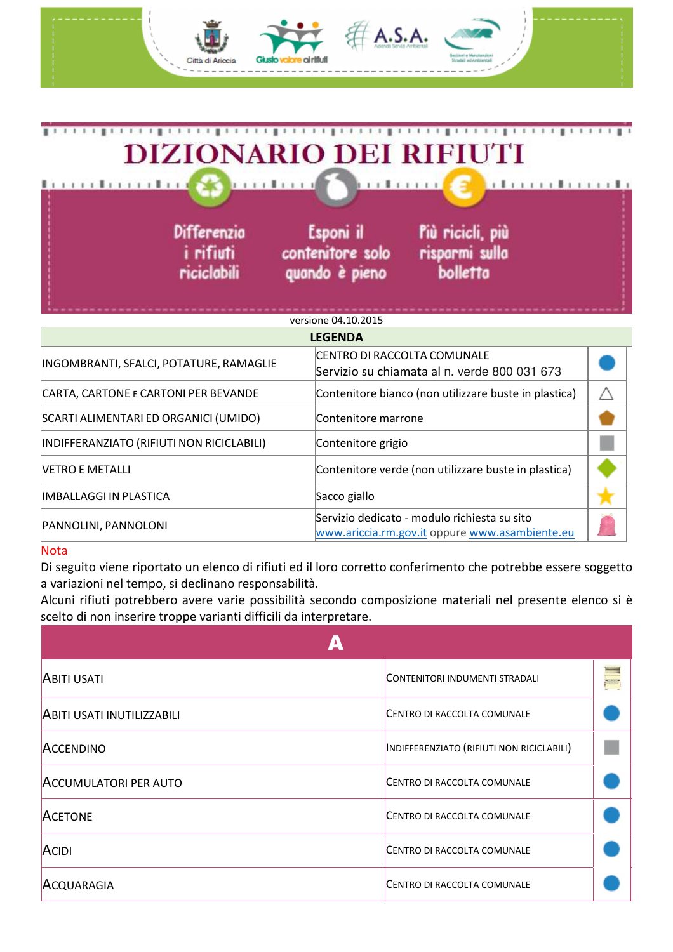

| INDIFFERANZIATO (RIFIUTI NON RICICLABILI) | Contenitore grigio                                                                             |  |
|-------------------------------------------|------------------------------------------------------------------------------------------------|--|
| VETRO E METALLI                           | Contenitore verde (non utilizzare buste in plastica)                                           |  |
| IMBALLAGGI IN PLASTICA                    | Sacco giallo                                                                                   |  |
| PANNOLINI, PANNOLONI                      | Servizio dedicato - modulo richiesta su sito<br>www.ariccia.rm.gov.it oppure www.asambiente.eu |  |

## Nota

Di seguito viene riportato un elenco di rifiuti ed il loro corretto conferimento che potrebbe essere soggetto a variazioni nel tempo, si declinano responsabilità.

Alcuni rifiuti potrebbero avere varie possibilità secondo composizione materiali nel presente elenco si è scelto di non inserire troppe varianti difficili da interpretare.

| <b>ABITI USATI</b>                | CONTENITORI INDUMENTI STRADALI            | <b>SHIP</b> |
|-----------------------------------|-------------------------------------------|-------------|
| <b>ABITI USATI INUTILIZZABILI</b> | CENTRO DI RACCOLTA COMUNALE               |             |
| <b>ACCENDINO</b>                  | INDIFFERENZIATO (RIFIUTI NON RICICLABILI) |             |
| <b>ACCUMULATORI PER AUTO</b>      | CENTRO DI RACCOLTA COMUNALE               |             |
| <b>ACETONE</b>                    | CENTRO DI RACCOLTA COMUNALE               |             |
| ACIDI                             | CENTRO DI RACCOLTA COMUNALE               |             |
| ACQUARAGIA                        | CENTRO DI RACCOLTA COMUNALE               |             |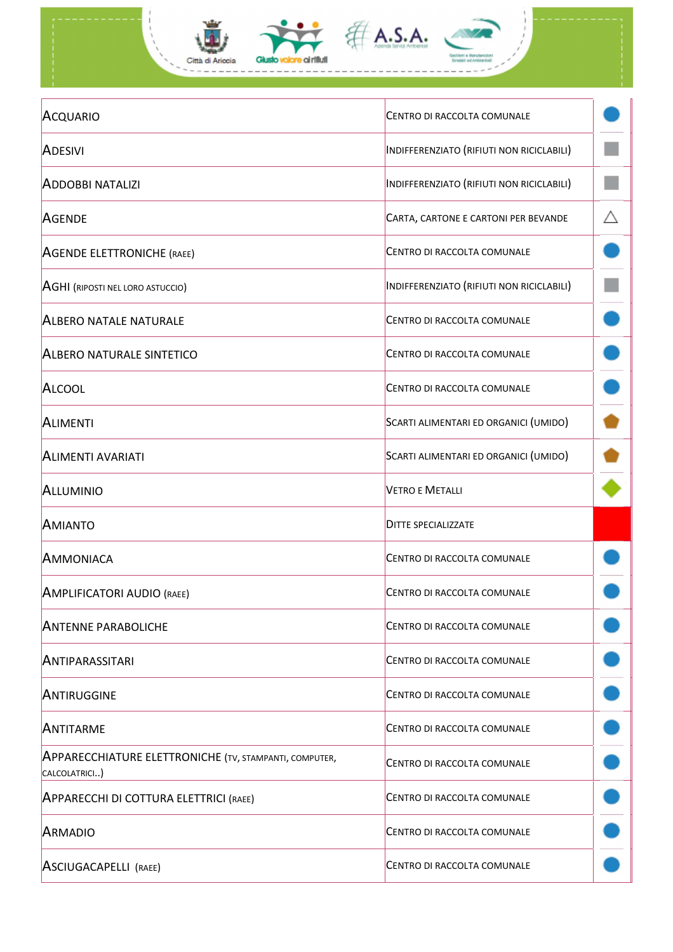

| ACQUARIO                                                                       | CENTRO DI RACCOLTA COMUNALE               |   |
|--------------------------------------------------------------------------------|-------------------------------------------|---|
| <b>ADESIVI</b>                                                                 | INDIFFERENZIATO (RIFIUTI NON RICICLABILI) |   |
| <b>ADDOBBI NATALIZI</b>                                                        | INDIFFERENZIATO (RIFIUTI NON RICICLABILI) |   |
| <b>AGENDE</b>                                                                  | CARTA, CARTONE E CARTONI PER BEVANDE      | Λ |
| <b>AGENDE ELETTRONICHE (RAEE)</b>                                              | CENTRO DI RACCOLTA COMUNALE               |   |
| <b>AGHI (RIPOSTI NEL LORO ASTUCCIO)</b>                                        | INDIFFERENZIATO (RIFIUTI NON RICICLABILI) |   |
| <b>ALBERO NATALE NATURALE</b>                                                  | CENTRO DI RACCOLTA COMUNALE               |   |
| <b>ALBERO NATURALE SINTETICO</b>                                               | CENTRO DI RACCOLTA COMUNALE               |   |
| <b>ALCOOL</b>                                                                  | CENTRO DI RACCOLTA COMUNALE               |   |
| <b>ALIMENTI</b>                                                                | SCARTI ALIMENTARI ED ORGANICI (UMIDO)     |   |
| <b>ALIMENTI AVARIATI</b>                                                       | SCARTI ALIMENTARI ED ORGANICI (UMIDO)     |   |
| <b>ALLUMINIO</b>                                                               | <b>VETRO E METALLI</b>                    |   |
| <b>AMIANTO</b>                                                                 | <b>DITTE SPECIALIZZATE</b>                |   |
| AMMONIACA                                                                      | CENTRO DI RACCOLTA COMUNALE               |   |
| AMPLIFICATORI AUDIO (RAEE)                                                     | CENTRO DI RACCOLTA COMUNALE               |   |
| <b>ANTENNE PARABOLICHE</b>                                                     | CENTRO DI RACCOLTA COMUNALE               |   |
| <b>ANTIPARASSITARI</b>                                                         | CENTRO DI RACCOLTA COMUNALE               |   |
| ANTIRUGGINE                                                                    | CENTRO DI RACCOLTA COMUNALE               |   |
| ANTITARME                                                                      | CENTRO DI RACCOLTA COMUNALE               |   |
| <b>APPARECCHIATURE ELETTRONICHE (TV, STAMPANTI, COMPUTER,</b><br>CALCOLATRICI) | CENTRO DI RACCOLTA COMUNALE               |   |
| <b>APPARECCHI DI COTTURA ELETTRICI (RAEE)</b>                                  | CENTRO DI RACCOLTA COMUNALE               |   |
| <b>ARMADIO</b>                                                                 | CENTRO DI RACCOLTA COMUNALE               |   |
| ASCIUGACAPELLI (RAEE)                                                          | CENTRO DI RACCOLTA COMUNALE               |   |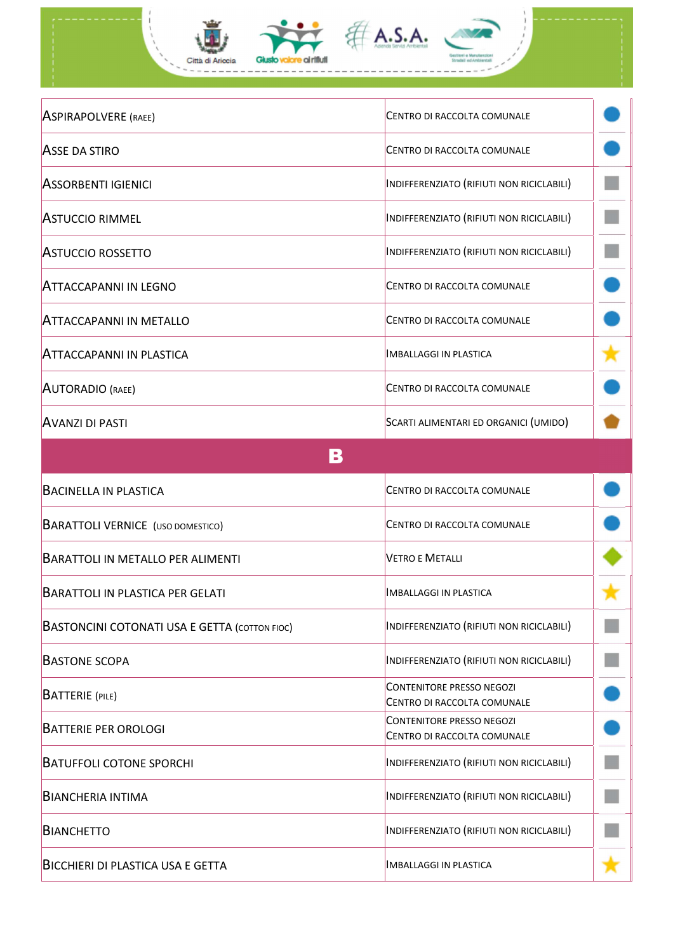| <b>ASPIRAPOLVERE (RAEE)</b>                          | CENTRO DI RACCOLTA COMUNALE                                     |  |
|------------------------------------------------------|-----------------------------------------------------------------|--|
| <b>ASSE DA STIRO</b>                                 | CENTRO DI RACCOLTA COMUNALE                                     |  |
| <b>ASSORBENTI IGIENICI</b>                           | INDIFFERENZIATO (RIFIUTI NON RICICLABILI)                       |  |
| <b>ASTUCCIO RIMMEL</b>                               | INDIFFERENZIATO (RIFIUTI NON RICICLABILI)                       |  |
| <b>ASTUCCIO ROSSETTO</b>                             | INDIFFERENZIATO (RIFIUTI NON RICICLABILI)                       |  |
| ATTACCAPANNI IN LEGNO                                | CENTRO DI RACCOLTA COMUNALE                                     |  |
| <b>ATTACCAPANNI IN METALLO</b>                       | CENTRO DI RACCOLTA COMUNALE                                     |  |
| <b>ATTACCAPANNI IN PLASTICA</b>                      | <b>IMBALLAGGI IN PLASTICA</b>                                   |  |
| <b>AUTORADIO</b> (RAEE)                              | CENTRO DI RACCOLTA COMUNALE                                     |  |
| <b>AVANZI DI PASTI</b>                               | SCARTI ALIMENTARI ED ORGANICI (UMIDO)                           |  |
| В                                                    |                                                                 |  |
| <b>BACINELLA IN PLASTICA</b>                         | CENTRO DI RACCOLTA COMUNALE                                     |  |
| <b>BARATTOLI VERNICE</b> (USO DOMESTICO)             | <b>CENTRO DI RACCOLTA COMUNALE</b>                              |  |
| <b>BARATTOLI IN METALLO PER ALIMENTI</b>             | <b>VETRO E METALLI</b>                                          |  |
| <b>BARATTOLI IN PLASTICA PER GELATI</b>              | <b>IMBALLAGGI IN PLASTICA</b>                                   |  |
| <b>BASTONCINI COTONATI USA E GETTA (COTTON FIOC)</b> | INDIFFERENZIATO (RIFIUTI NON RICICLABILI)                       |  |
| <b>BASTONE SCOPA</b>                                 | INDIFFERENZIATO (RIFIUTI NON RICICLABILI)                       |  |
| <b>BATTERIE</b> (PILE)                               | <b>CONTENITORE PRESSO NEGOZI</b><br>CENTRO DI RACCOLTA COMUNALE |  |
| <b>BATTERIE PER OROLOGI</b>                          | <b>CONTENITORE PRESSO NEGOZI</b><br>CENTRO DI RACCOLTA COMUNALE |  |
| <b>BATUFFOLI COTONE SPORCHI</b>                      | INDIFFERENZIATO (RIFIUTI NON RICICLABILI)                       |  |
| <b>BIANCHERIA INTIMA</b>                             | INDIFFERENZIATO (RIFIUTI NON RICICLABILI)                       |  |
| <b>BIANCHETTO</b>                                    | INDIFFERENZIATO (RIFIUTI NON RICICLABILI)                       |  |
| <b>BICCHIERI DI PLASTICA USA E GETTA</b>             | <b>IMBALLAGGI IN PLASTICA</b>                                   |  |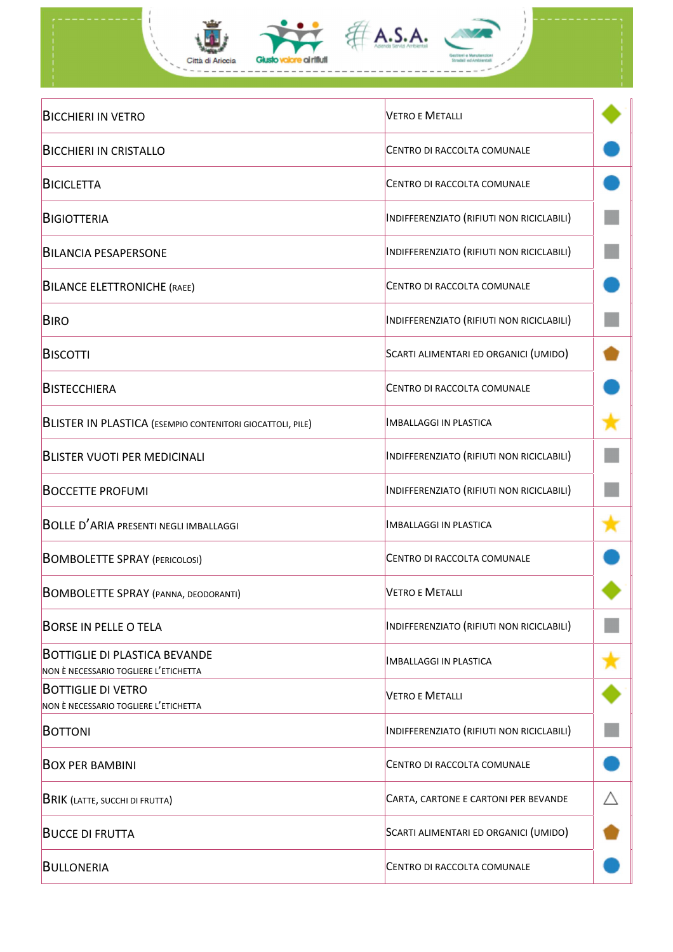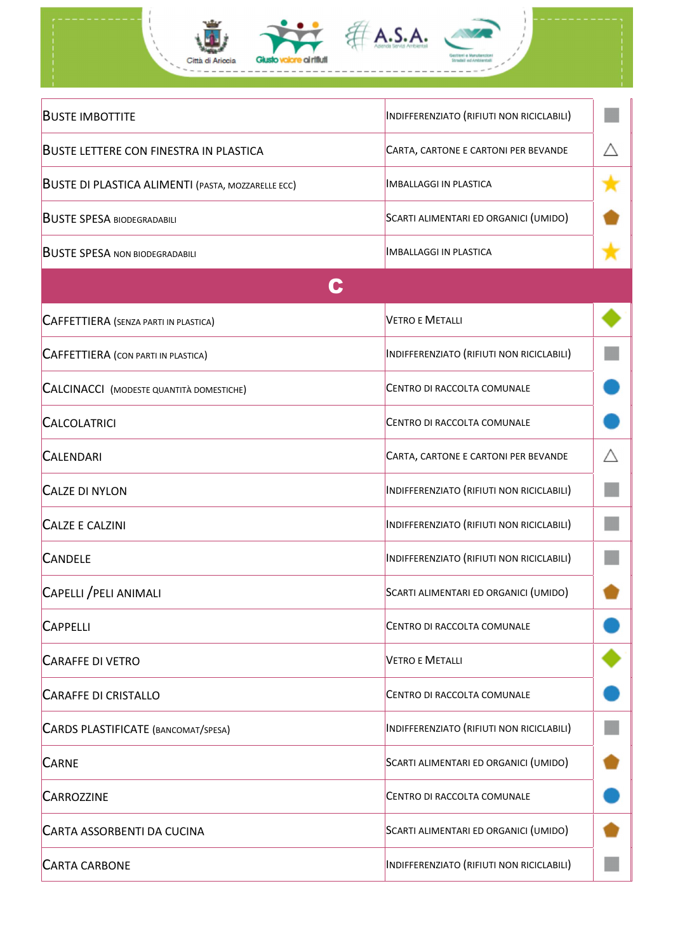

| <b>BUSTE IMBOTTITE</b>                                    | INDIFFERENZIATO (RIFIUTI NON RICICLABILI) |   |
|-----------------------------------------------------------|-------------------------------------------|---|
| <b>BUSTE LETTERE CON FINESTRA IN PLASTICA</b>             | CARTA, CARTONE E CARTONI PER BEVANDE      | Δ |
| <b>BUSTE DI PLASTICA ALIMENTI (PASTA, MOZZARELLE ECC)</b> | <b>IMBALLAGGI IN PLASTICA</b>             |   |
| <b>BUSTE SPESA BIODEGRADABILI</b>                         | SCARTI ALIMENTARI ED ORGANICI (UMIDO)     |   |
| <b>BUSTE SPESA NON BIODEGRADABILI</b>                     | <b>IMBALLAGGI IN PLASTICA</b>             |   |
|                                                           |                                           |   |
| <b>CAFFETTIERA</b> (SENZA PARTI IN PLASTICA)              | <b>VETRO E METALLI</b>                    |   |
| <b>CAFFETTIERA</b> (CON PARTI IN PLASTICA)                | INDIFFERENZIATO (RIFIUTI NON RICICLABILI) |   |
| <b>CALCINACCI</b> (MODESTE QUANTITÀ DOMESTICHE)           | CENTRO DI RACCOLTA COMUNALE               |   |
| <b>CALCOLATRICI</b>                                       | CENTRO DI RACCOLTA COMUNALE               |   |
| <b>CALENDARI</b>                                          | CARTA, CARTONE E CARTONI PER BEVANDE      | Λ |
| <b>CALZE DI NYLON</b>                                     | INDIFFERENZIATO (RIFIUTI NON RICICLABILI) |   |
| <b>CALZE E CALZINI</b>                                    | INDIFFERENZIATO (RIFIUTI NON RICICLABILI) |   |
| <b>CANDELE</b>                                            | INDIFFERENZIATO (RIFIUTI NON RICICLABILI) |   |
| <b>CAPELLI / PELI ANIMALI</b>                             | SCARTI ALIMENTARI ED ORGANICI (UMIDO)     |   |
| <b>CAPPELLI</b>                                           | CENTRO DI RACCOLTA COMUNALE               |   |
| <b>CARAFFE DI VETRO</b>                                   | <b>VETRO E METALLI</b>                    |   |
| <b>CARAFFE DI CRISTALLO</b>                               | CENTRO DI RACCOLTA COMUNALE               |   |
| CARDS PLASTIFICATE (BANCOMAT/SPESA)                       | INDIFFERENZIATO (RIFIUTI NON RICICLABILI) |   |
| <b>CARNE</b>                                              | SCARTI ALIMENTARI ED ORGANICI (UMIDO)     |   |
| <b>CARROZZINE</b>                                         | CENTRO DI RACCOLTA COMUNALE               |   |
| <b>CARTA ASSORBENTI DA CUCINA</b>                         | SCARTI ALIMENTARI ED ORGANICI (UMIDO)     |   |
| <b>CARTA CARBONE</b>                                      | INDIFFERENZIATO (RIFIUTI NON RICICLABILI) |   |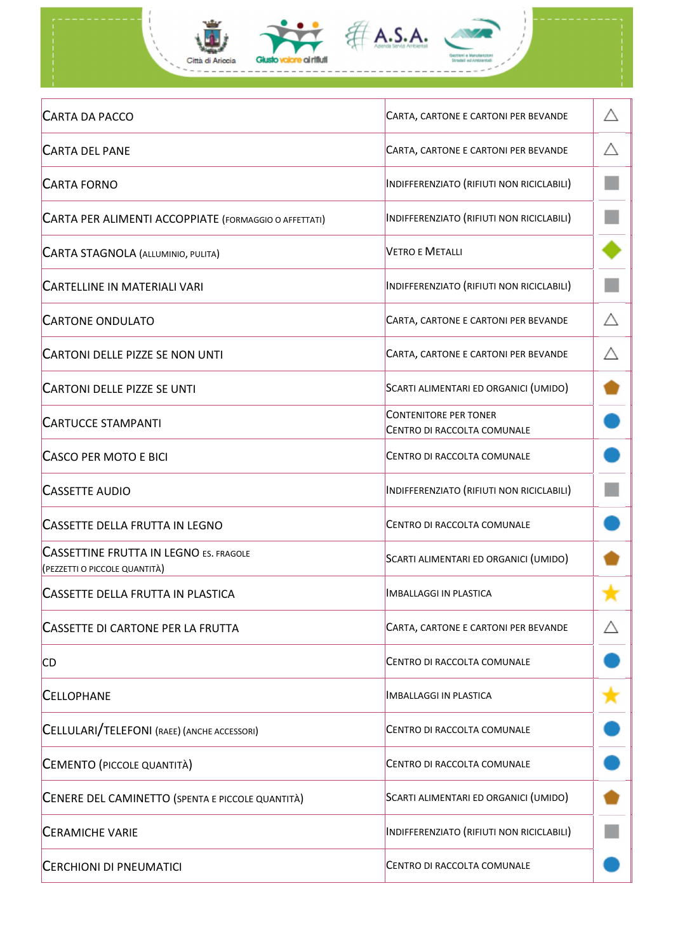

| <b>CARTA DA PACCO</b>                                                          | CARTA, CARTONE E CARTONI PER BEVANDE                        | Λ |
|--------------------------------------------------------------------------------|-------------------------------------------------------------|---|
| <b>CARTA DEL PANE</b>                                                          | CARTA, CARTONE E CARTONI PER BEVANDE                        |   |
| <b>CARTA FORNO</b>                                                             | INDIFFERENZIATO (RIFIUTI NON RICICLABILI)                   |   |
| CARTA PER ALIMENTI ACCOPPIATE (FORMAGGIO O AFFETTATI)                          | INDIFFERENZIATO (RIFIUTI NON RICICLABILI)                   |   |
| <b>CARTA STAGNOLA (ALLUMINIO, PULITA)</b>                                      | <b>VETRO E METALLI</b>                                      |   |
| <b>CARTELLINE IN MATERIALI VARI</b>                                            | INDIFFERENZIATO (RIFIUTI NON RICICLABILI)                   |   |
| <b>CARTONE ONDULATO</b>                                                        | CARTA, CARTONE E CARTONI PER BEVANDE                        | Λ |
| <b>CARTONI DELLE PIZZE SE NON UNTI</b>                                         | CARTA, CARTONE E CARTONI PER BEVANDE                        | Λ |
| <b>CARTONI DELLE PIZZE SE UNTI</b>                                             | SCARTI ALIMENTARI ED ORGANICI (UMIDO)                       |   |
| <b>CARTUCCE STAMPANTI</b>                                                      | <b>CONTENITORE PER TONER</b><br>CENTRO DI RACCOLTA COMUNALE |   |
| CASCO PER MOTO E BICI                                                          | CENTRO DI RACCOLTA COMUNALE                                 |   |
| <b>CASSETTE AUDIO</b>                                                          | INDIFFERENZIATO (RIFIUTI NON RICICLABILI)                   |   |
| <b>CASSETTE DELLA FRUTTA IN LEGNO</b>                                          | CENTRO DI RACCOLTA COMUNALE                                 |   |
| <b>CASSETTINE FRUTTA IN LEGNO ES. FRAGOLE</b><br>(PEZZETTI O PICCOLE QUANTITÀ) | SCARTI ALIMENTARI ED ORGANICI (UMIDO)                       |   |
| CASSETTE DELLA FRUTTA IN PLASTICA                                              | <b>IMBALLAGGI IN PLASTICA</b>                               |   |
| <b>CASSETTE DI CARTONE PER LA FRUTTA</b>                                       | CARTA, CARTONE E CARTONI PER BEVANDE                        |   |
| <b>CD</b>                                                                      | CENTRO DI RACCOLTA COMUNALE                                 |   |
| <b>CELLOPHANE</b>                                                              | <b>IMBALLAGGI IN PLASTICA</b>                               |   |
| CELLULARI/TELEFONI (RAEE) (ANCHE ACCESSORI)                                    | CENTRO DI RACCOLTA COMUNALE                                 |   |
| CEMENTO (PICCOLE QUANTITÀ)                                                     | CENTRO DI RACCOLTA COMUNALE                                 |   |
| CENERE DEL CAMINETTO (SPENTA E PICCOLE QUANTITÀ)                               | SCARTI ALIMENTARI ED ORGANICI (UMIDO)                       |   |
| <b>CERAMICHE VARIE</b>                                                         | INDIFFERENZIATO (RIFIUTI NON RICICLABILI)                   |   |
| <b>CERCHIONI DI PNEUMATICI</b>                                                 | CENTRO DI RACCOLTA COMUNALE                                 |   |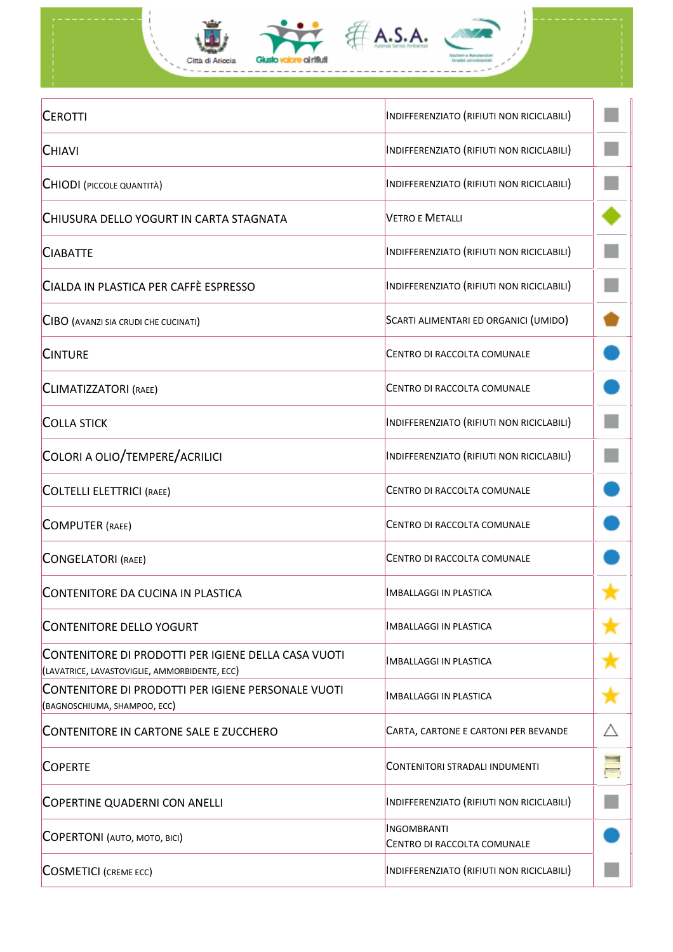

| <b>CEROTTI</b>                                                                                       | INDIFFERENZIATO (RIFIUTI NON RICICLABILI)         |              |
|------------------------------------------------------------------------------------------------------|---------------------------------------------------|--------------|
| <b>CHIAVI</b>                                                                                        | INDIFFERENZIATO (RIFIUTI NON RICICLABILI)         |              |
| <b>CHIODI</b> (PICCOLE QUANTITÀ)                                                                     | INDIFFERENZIATO (RIFIUTI NON RICICLABILI)         |              |
| CHIUSURA DELLO YOGURT IN CARTA STAGNATA                                                              | <b>VETRO E METALLI</b>                            |              |
| <b>CIABATTE</b>                                                                                      | INDIFFERENZIATO (RIFIUTI NON RICICLABILI)         |              |
| CIALDA IN PLASTICA PER CAFFÈ ESPRESSO                                                                | INDIFFERENZIATO (RIFIUTI NON RICICLABILI)         |              |
| <b>CIBO</b> (AVANZI SIA CRUDI CHE CUCINATI)                                                          | SCARTI ALIMENTARI ED ORGANICI (UMIDO)             |              |
| <b>CINTURE</b>                                                                                       | CENTRO DI RACCOLTA COMUNALE                       |              |
| <b>CLIMATIZZATORI (RAEE)</b>                                                                         | CENTRO DI RACCOLTA COMUNALE                       |              |
| <b>COLLA STICK</b>                                                                                   | INDIFFERENZIATO (RIFIUTI NON RICICLABILI)         |              |
| COLORI A OLIO/TEMPERE/ACRILICI                                                                       | INDIFFERENZIATO (RIFIUTI NON RICICLABILI)         |              |
| <b>COLTELLI ELETTRICI (RAEE)</b>                                                                     | CENTRO DI RACCOLTA COMUNALE                       |              |
| <b>COMPUTER (RAEE)</b>                                                                               | CENTRO DI RACCOLTA COMUNALE                       |              |
| <b>CONGELATORI</b> (RAEE)                                                                            | CENTRO DI RACCOLTA COMUNALE                       |              |
| CONTENITORE DA CUCINA IN PLASTICA                                                                    | İMBALLAGGI IN PLASTICA                            |              |
| <b>CONTENITORE DELLO YOGURT</b>                                                                      | <b>IMBALLAGGI IN PLASTICA</b>                     |              |
| CONTENITORE DI PRODOTTI PER IGIENE DELLA CASA VUOTI<br>(LAVATRICE, LAVASTOVIGLIE, AMMORBIDENTE, ECC) | İMBALLAGGI IN PLASTICA                            |              |
| CONTENITORE DI PRODOTTI PER IGIENE PERSONALE VUOTI<br>(BAGNOSCHIUMA, SHAMPOO, ECC)                   | İMBALLAGGI IN PLASTICA                            |              |
| CONTENITORE IN CARTONE SALE E ZUCCHERO                                                               | CARTA, CARTONE E CARTONI PER BEVANDE              |              |
| <b>COPERTE</b>                                                                                       | CONTENITORI STRADALI INDUMENTI                    | <b>Provi</b> |
| <b>COPERTINE QUADERNI CON ANELLI</b>                                                                 | INDIFFERENZIATO (RIFIUTI NON RICICLABILI)         |              |
| <b>COPERTONI</b> (AUTO, MOTO, BICI)                                                                  | <b>INGOMBRANTI</b><br>CENTRO DI RACCOLTA COMUNALE |              |
| <b>COSMETICI</b> (CREME ECC)                                                                         | INDIFFERENZIATO (RIFIUTI NON RICICLABILI)         |              |
|                                                                                                      |                                                   |              |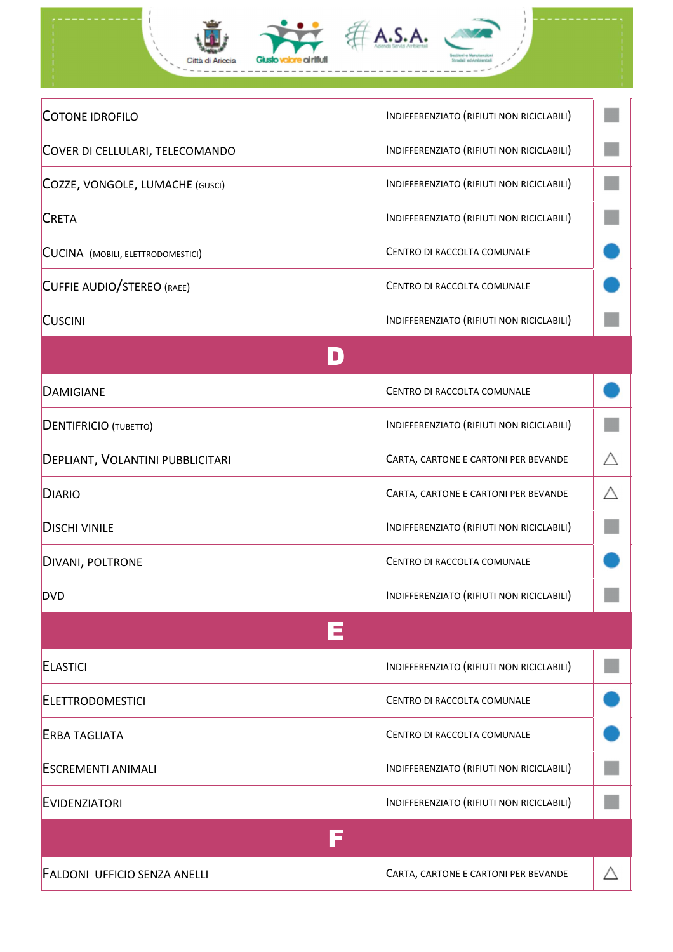

| <b>COTONE IDROFILO</b>                   | INDIFFERENZIATO (RIFIUTI NON RICICLABILI) |  |
|------------------------------------------|-------------------------------------------|--|
| COVER DI CELLULARI, TELECOMANDO          | INDIFFERENZIATO (RIFIUTI NON RICICLABILI) |  |
| COZZE, VONGOLE, LUMACHE (GUSCI)          | INDIFFERENZIATO (RIFIUTI NON RICICLABILI) |  |
| <b>CRETA</b>                             | INDIFFERENZIATO (RIFIUTI NON RICICLABILI) |  |
| <b>CUCINA</b> (MOBILI, ELETTRODOMESTICI) | CENTRO DI RACCOLTA COMUNALE               |  |
| CUFFIE AUDIO/STEREO (RAEE)               | CENTRO DI RACCOLTA COMUNALE               |  |
| <b>CUSCINI</b>                           | INDIFFERENZIATO (RIFIUTI NON RICICLABILI) |  |
|                                          |                                           |  |
| <b>DAMIGIANE</b>                         | <b>CENTRO DI RACCOLTA COMUNALE</b>        |  |
| <b>DENTIFRICIO</b> (TUBETTO)             | INDIFFERENZIATO (RIFIUTI NON RICICLABILI) |  |
| DEPLIANT, VOLANTINI PUBBLICITARI         | CARTA, CARTONE E CARTONI PER BEVANDE      |  |
| <b>DIARIO</b>                            | CARTA, CARTONE E CARTONI PER BEVANDE      |  |
| <b>DISCHI VINILE</b>                     | INDIFFERENZIATO (RIFIUTI NON RICICLABILI) |  |
| DIVANI, POLTRONE                         | CENTRO DI RACCOLTA COMUNALE               |  |
| <b>DVD</b>                               | INDIFFERENZIATO (RIFIUTI NON RICICLABILI) |  |
|                                          |                                           |  |
| <b>ELASTICI</b>                          | INDIFFERENZIATO (RIFIUTI NON RICICLABILI) |  |
| <b>ELETTRODOMESTICI</b>                  | CENTRO DI RACCOLTA COMUNALE               |  |
| <b>ERBA TAGLIATA</b>                     | CENTRO DI RACCOLTA COMUNALE               |  |
| <b>ESCREMENTI ANIMALI</b>                | INDIFFERENZIATO (RIFIUTI NON RICICLABILI) |  |
| <b>EVIDENZIATORI</b>                     | INDIFFERENZIATO (RIFIUTI NON RICICLABILI) |  |
|                                          |                                           |  |
| <b>FALDONI UFFICIO SENZA ANELLI</b>      | CARTA, CARTONE E CARTONI PER BEVANDE      |  |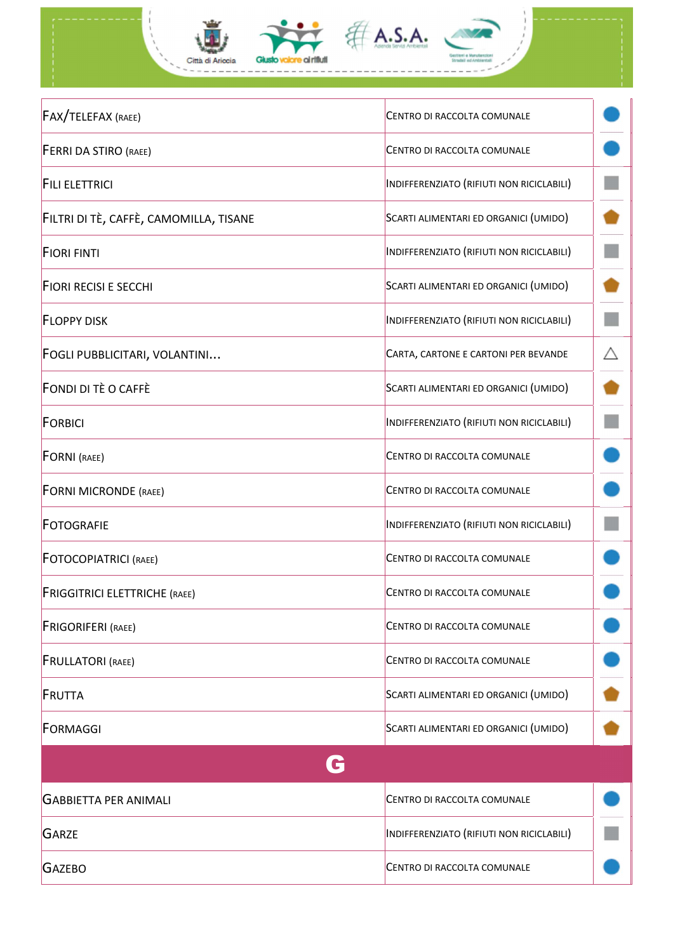

| <b>FORNI MICRONDE (RAEE)</b>         | CENTRO DI RACCOLTA COMUNALE               |  |
|--------------------------------------|-------------------------------------------|--|
| <b>FOTOGRAFIE</b>                    | INDIFFERENZIATO (RIFIUTI NON RICICLABILI) |  |
| <b>FOTOCOPIATRICI (RAEE)</b>         | CENTRO DI RACCOLTA COMUNALE               |  |
| <b>FRIGGITRICI ELETTRICHE (RAEE)</b> | CENTRO DI RACCOLTA COMUNALE               |  |
| <b>FRIGORIFERI</b> (RAEE)            | CENTRO DI RACCOLTA COMUNALE               |  |
| <b>FRULLATORI (RAEE)</b>             | CENTRO DI RACCOLTA COMUNALE               |  |
| FRUTTA                               | SCARTI ALIMENTARI ED ORGANICI (UMIDO)     |  |
|                                      |                                           |  |

**FORMAGGI** SCARTI ALIMENTARI ED ORGANICI (UMIDO)

G GABBIETTA PER ANIMALI CENTRO DI RACCOLTA COMUNALE GARZE **INDIFFERENZIATO** (RIFIUTI NON RICICLABILI) **GAZEBO** CENTRO DI RACCOLTA COMUNALE

÷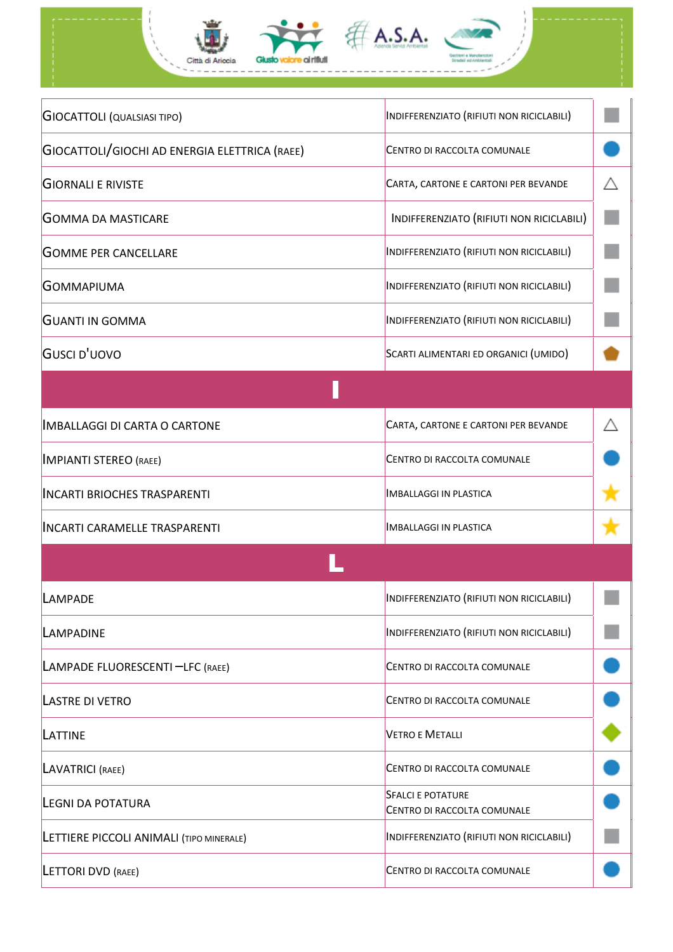

| <b>GIOCATTOLI (QUALSIASI TIPO)</b>            | INDIFFERENZIATO (RIFIUTI NON RICICLABILI)               |   |
|-----------------------------------------------|---------------------------------------------------------|---|
| GIOCATTOLI/GIOCHI AD ENERGIA ELETTRICA (RAEE) | CENTRO DI RACCOLTA COMUNALE                             |   |
| <b>GIORNALI E RIVISTE</b>                     | CARTA, CARTONE E CARTONI PER BEVANDE                    | Λ |
| <b>GOMMA DA MASTICARE</b>                     | INDIFFERENZIATO (RIFIUTI NON RICICLABILI)               |   |
| <b>GOMME PER CANCELLARE</b>                   | INDIFFERENZIATO (RIFIUTI NON RICICLABILI)               |   |
| GOMMAPIUMA                                    | INDIFFERENZIATO (RIFIUTI NON RICICLABILI)               |   |
| <b>GUANTI IN GOMMA</b>                        | INDIFFERENZIATO (RIFIUTI NON RICICLABILI)               |   |
| GUSCI D'UOVO                                  | SCARTI ALIMENTARI ED ORGANICI (UMIDO)                   |   |
|                                               |                                                         |   |
| <b>IMBALLAGGI DI CARTA O CARTONE</b>          | CARTA, CARTONE E CARTONI PER BEVANDE                    |   |
| <b>IMPIANTI STEREO (RAEE)</b>                 | CENTRO DI RACCOLTA COMUNALE                             |   |
| <b>INCARTI BRIOCHES TRASPARENTI</b>           | <b>IMBALLAGGI IN PLASTICA</b>                           |   |
| <b>INCARTI CARAMELLE TRASPARENTI</b>          | <b>IMBALLAGGI IN PLASTICA</b>                           |   |
|                                               |                                                         |   |
| LAMPADE                                       | INDIFFERENZIATO (RIFIUTI NON RICICLABILI)               |   |
| LAMPADINE                                     | INDIFFERENZIATO (RIFIUTI NON RICICLABILI)               |   |
| LAMPADE FLUORESCENTI -LFC (RAEE)              | CENTRO DI RACCOLTA COMUNALE                             |   |
| <b>LASTRE DI VETRO</b>                        | CENTRO DI RACCOLTA COMUNALE                             |   |
| LATTINE                                       | <b>VETRO E METALLI</b>                                  |   |
| LAVATRICI (RAEE)                              | CENTRO DI RACCOLTA COMUNALE                             |   |
| <b>LEGNI DA POTATURA</b>                      | <b>SFALCI E POTATURE</b><br>CENTRO DI RACCOLTA COMUNALE |   |
| LETTIERE PICCOLI ANIMALI (TIPO MINERALE)      | INDIFFERENZIATO (RIFIUTI NON RICICLABILI)               |   |
| <b>LETTORI DVD (RAEE)</b>                     | CENTRO DI RACCOLTA COMUNALE                             |   |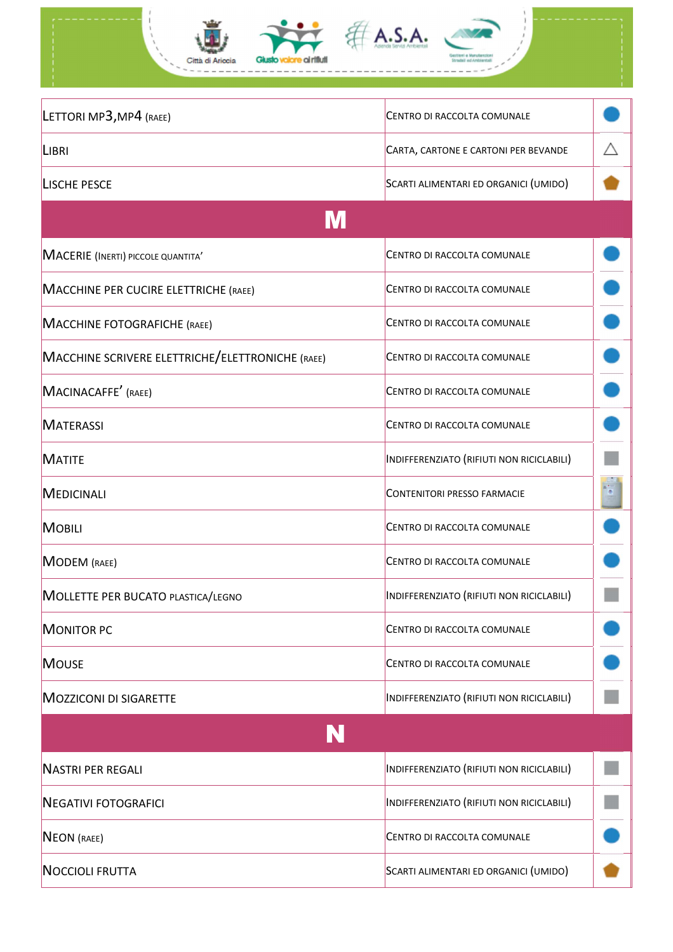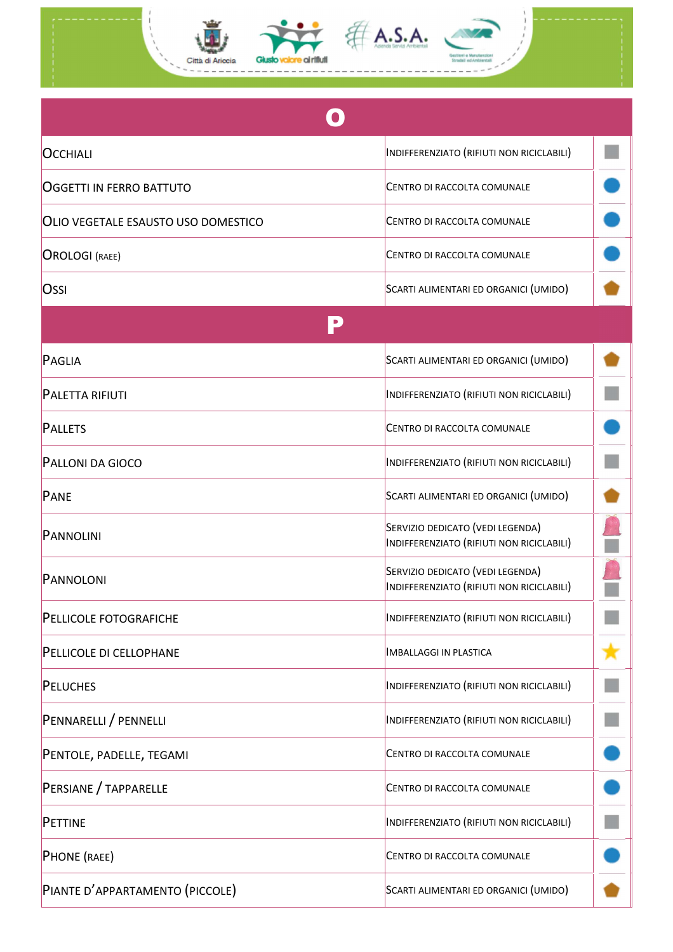

| <b>OCCHIALI</b>                            | INDIFFERENZIATO (RIFIUTI NON RICICLABILI)                                     |  |
|--------------------------------------------|-------------------------------------------------------------------------------|--|
| <b>OGGETTI IN FERRO BATTUTO</b>            | CENTRO DI RACCOLTA COMUNALE                                                   |  |
| <b>OLIO VEGETALE ESAUSTO USO DOMESTICO</b> | CENTRO DI RACCOLTA COMUNALE                                                   |  |
| <b>OROLOGI</b> (RAEE)                      | CENTRO DI RACCOLTA COMUNALE                                                   |  |
| Ossi                                       | SCARTI ALIMENTARI ED ORGANICI (UMIDO)                                         |  |
|                                            |                                                                               |  |
| PAGLIA                                     | SCARTI ALIMENTARI ED ORGANICI (UMIDO)                                         |  |
| <b>PALETTA RIFIUTI</b>                     | INDIFFERENZIATO (RIFIUTI NON RICICLABILI)                                     |  |
| <b>PALLETS</b>                             | CENTRO DI RACCOLTA COMUNALE                                                   |  |
| <b>PALLONI DA GIOCO</b>                    | INDIFFERENZIATO (RIFIUTI NON RICICLABILI)                                     |  |
| PANE                                       | SCARTI ALIMENTARI ED ORGANICI (UMIDO)                                         |  |
| PANNOLINI                                  | SERVIZIO DEDICATO (VEDI LEGENDA)<br>INDIFFERENZIATO (RIFIUTI NON RICICLABILI) |  |
| PANNOLONI                                  | SERVIZIO DEDICATO (VEDI LEGENDA)<br>INDIFFERENZIATO (RIFIUTI NON RICICLABILI) |  |
| PELLICOLE FOTOGRAFICHE                     | INDIFFERENZIATO (RIFIUTI NON RICICLABILI)                                     |  |
| PELLICOLE DI CELLOPHANE                    | <b>IMBALLAGGI IN PLASTICA</b>                                                 |  |
| PELUCHES                                   | INDIFFERENZIATO (RIFIUTI NON RICICLABILI)                                     |  |
| PENNARELLI / PENNELLI                      | INDIFFERENZIATO (RIFIUTI NON RICICLABILI)                                     |  |
| PENTOLE, PADELLE, TEGAMI                   | CENTRO DI RACCOLTA COMUNALE                                                   |  |
| PERSIANE / TAPPARELLE                      | CENTRO DI RACCOLTA COMUNALE                                                   |  |
| PETTINE                                    | INDIFFERENZIATO (RIFIUTI NON RICICLABILI)                                     |  |
| <b>PHONE</b> (RAEE)                        | CENTRO DI RACCOLTA COMUNALE                                                   |  |
| PIANTE D'APPARTAMENTO (PICCOLE)            | SCARTI ALIMENTARI ED ORGANICI (UMIDO)                                         |  |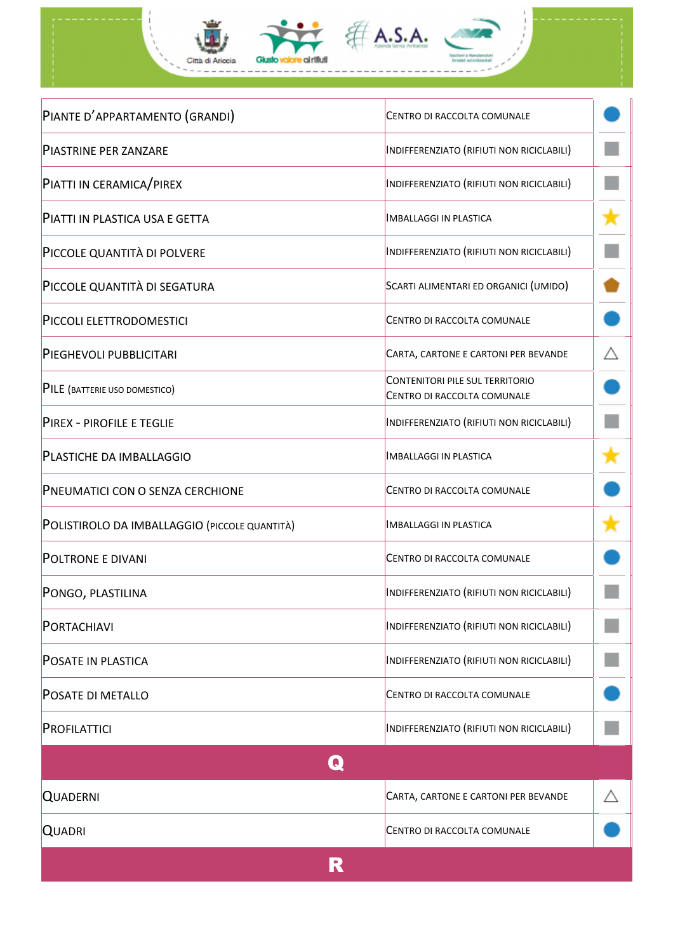

| PIANTE D'APPARTAMENTO (GRANDI)                | CENTRO DI RACCOLTA COMUNALE                                           |   |
|-----------------------------------------------|-----------------------------------------------------------------------|---|
| <b>PIASTRINE PER ZANZARE</b>                  | INDIFFERENZIATO (RIFIUTI NON RICICLABILI)                             |   |
| PIATTI IN CERAMICA/PIREX                      | INDIFFERENZIATO (RIFIUTI NON RICICLABILI)                             |   |
| PIATTI IN PLASTICA USA E GETTA                | <b>IMBALLAGGI IN PLASTICA</b>                                         |   |
| PICCOLE QUANTITÀ DI POLVERE                   | INDIFFERENZIATO (RIFIUTI NON RICICLABILI)                             |   |
| PICCOLE QUANTITÀ DI SEGATURA                  | SCARTI ALIMENTARI ED ORGANICI (UMIDO)                                 |   |
| PICCOLI ELETTRODOMESTICI                      | CENTRO DI RACCOLTA COMUNALE                                           |   |
| PIEGHEVOLI PUBBLICITARI                       | CARTA, CARTONE E CARTONI PER BEVANDE                                  | Λ |
| PILE (BATTERIE USO DOMESTICO)                 | <b>CONTENITORI PILE SUL TERRITORIO</b><br>CENTRO DI RACCOLTA COMUNALE |   |
| PIREX - PIROFILE E TEGLIE                     | INDIFFERENZIATO (RIFIUTI NON RICICLABILI)                             |   |
| PLASTICHE DA IMBALLAGGIO                      | <b>IMBALLAGGI IN PLASTICA</b>                                         |   |
| PNEUMATICI CON O SENZA CERCHIONE              | CENTRO DI RACCOLTA COMUNALE                                           |   |
| POLISTIROLO DA IMBALLAGGIO (PICCOLE QUANTITÀ) | <b>IMBALLAGGI IN PLASTICA</b>                                         |   |
| <b>POLTRONE E DIVANI</b>                      | CENTRO DI RACCOLTA COMUNALE                                           |   |
| PONGO, PLASTILINA                             | INDIFFERENZIATO (RIFIUTI NON RICICLABILI)                             |   |
| PORTACHIAVI                                   | INDIFFERENZIATO (RIFIUTI NON RICICLABILI)                             |   |
| <b>POSATE IN PLASTICA</b>                     | INDIFFERENZIATO (RIFIUTI NON RICICLABILI)                             |   |
| <b>POSATE DI METALLO</b>                      | CENTRO DI RACCOLTA COMUNALE                                           |   |
| PROFILATTICI                                  | INDIFFERENZIATO (RIFIUTI NON RICICLABILI)                             |   |
| $\mathbf \Omega$                              |                                                                       |   |
| <b>QUADERNI</b>                               | CARTA, CARTONE E CARTONI PER BEVANDE                                  |   |
| <b>QUADRI</b>                                 | CENTRO DI RACCOLTA COMUNALE                                           |   |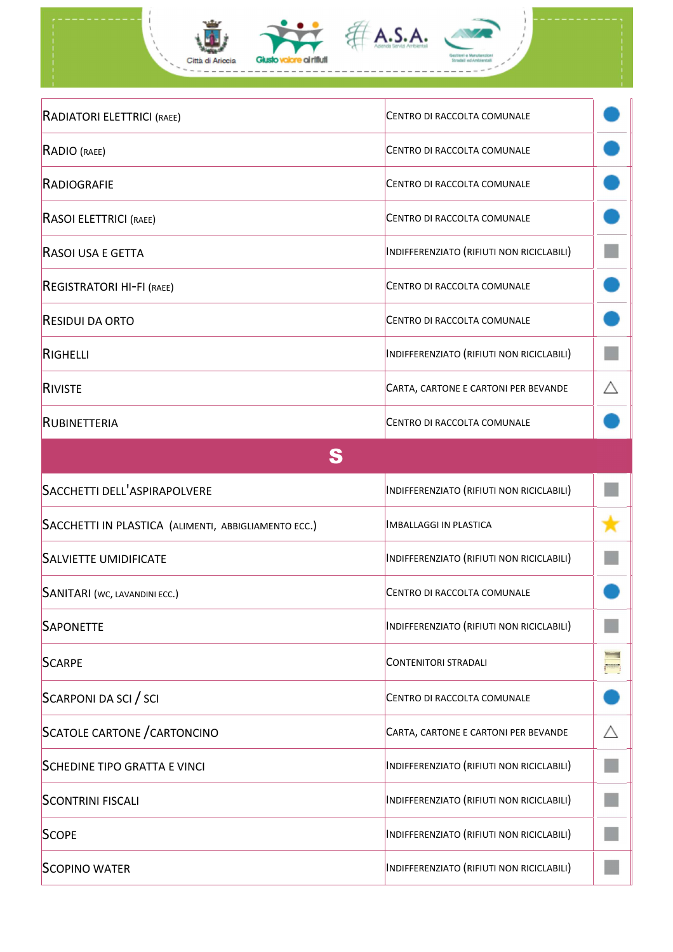| RADIATORI ELETTRICI (RAEE)                           | CENTRO DI RACCOLTA COMUNALE               |  |
|------------------------------------------------------|-------------------------------------------|--|
| RADIO (RAEE)                                         | CENTRO DI RACCOLTA COMUNALE               |  |
| <b>RADIOGRAFIE</b>                                   | CENTRO DI RACCOLTA COMUNALE               |  |
| RASOI ELETTRICI (RAEE)                               | CENTRO DI RACCOLTA COMUNALE               |  |
| RASOI USA E GETTA                                    | INDIFFERENZIATO (RIFIUTI NON RICICLABILI) |  |
| REGISTRATORI HI-FI (RAEE)                            | CENTRO DI RACCOLTA COMUNALE               |  |
| <b>RESIDUI DA ORTO</b>                               | CENTRO DI RACCOLTA COMUNALE               |  |
| RIGHELLI                                             | INDIFFERENZIATO (RIFIUTI NON RICICLABILI) |  |
| RIVISTE                                              | CARTA, CARTONE E CARTONI PER BEVANDE      |  |
| <b>RUBINETTERIA</b>                                  | CENTRO DI RACCOLTA COMUNALE               |  |
| S                                                    |                                           |  |
| SACCHETTI DELL'ASPIRAPOLVERE                         | INDIFFERENZIATO (RIFIUTI NON RICICLABILI) |  |
| SACCHETTI IN PLASTICA (ALIMENTI, ABBIGLIAMENTO ECC.) | <b>IMBALLAGGI IN PLASTICA</b>             |  |
| <b>SALVIETTE UMIDIFICATE</b>                         | INDIFFERENZIATO (RIFIUTI NON RICICLABILI) |  |
| SANITARI (WC, LAVANDINI ECC.)                        | CENTRO DI RACCOLTA COMUNALE               |  |
| <b>SAPONETTE</b>                                     | INDIFFERENZIATO (RIFIUTI NON RICICLABILI) |  |
| <b>SCARPE</b>                                        | <b>CONTENITORI STRADALI</b>               |  |

SCARPONI DA SCI / SCI CENTRO DI RACCOLTA COMUNALE

SCATOLE CARTONE / CARTONCINO CARTA, CARTA, CARTONE E CARTONI PER BEVANDE

 $\triangle$ 

 $\mathcal{L}_{\mathcal{A}}$ 

 $\mathbb{R}^3$ 

 $\Box$ 

m.

SCHEDINE TIPO GRATTA E VINCI **INDIFFERENZIATO (RIFIUTI NON RICICLABILI**)

SCONTRINI FISCALI **INDIFFERENZIATO (RIFIUTI NON RICICLABILI**)

**SCOPE** INDIFFERENZIATO (RIFIUTI NON RICICLABILI)

SCOPINO WATER **INDIFFERENZIATO** (RIFIUTI NON RICICLABILI)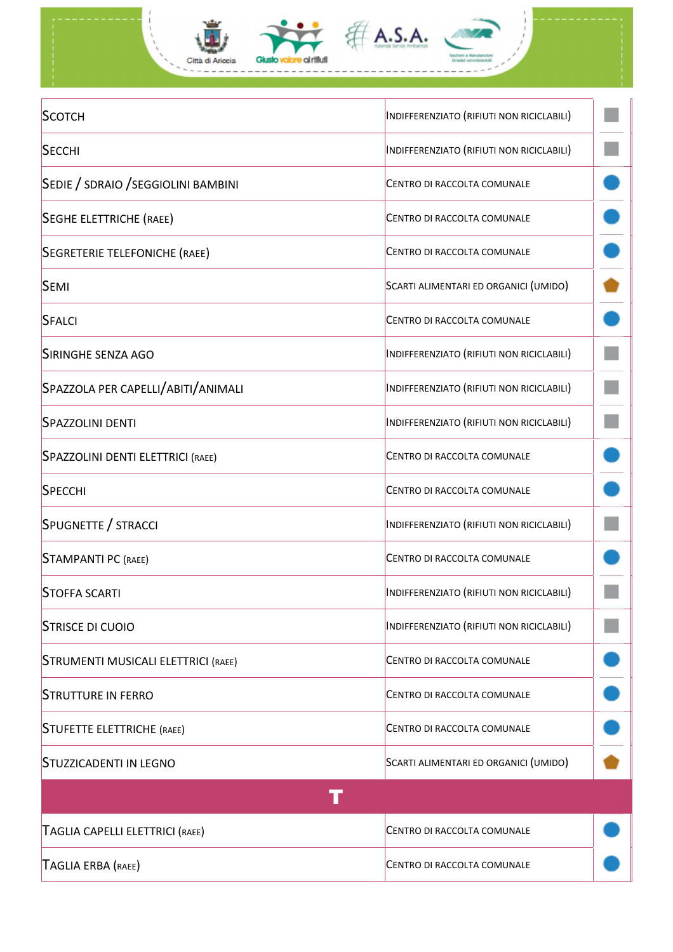

| SCOTCH                                     | INDIFFERENZIATO (RIFIUTI NON RICICLABILI) |  |
|--------------------------------------------|-------------------------------------------|--|
| <b>SECCHI</b>                              | INDIFFERENZIATO (RIFIUTI NON RICICLABILI) |  |
| SEDIE / SDRAIO / SEGGIOLINI BAMBINI        | CENTRO DI RACCOLTA COMUNALE               |  |
| SEGHE ELETTRICHE (RAEE)                    | CENTRO DI RACCOLTA COMUNALE               |  |
| SEGRETERIE TELEFONICHE (RAEE)              | CENTRO DI RACCOLTA COMUNALE               |  |
| <b>SEMI</b>                                | SCARTI ALIMENTARI ED ORGANICI (UMIDO)     |  |
| SFALCI                                     | CENTRO DI RACCOLTA COMUNALE               |  |
| SIRINGHE SENZA AGO                         | INDIFFERENZIATO (RIFIUTI NON RICICLABILI) |  |
| SPAZZOLA PER CAPELLI/ABITI/ANIMALI         | INDIFFERENZIATO (RIFIUTI NON RICICLABILI) |  |
| SPAZZOLINI DENTI                           | INDIFFERENZIATO (RIFIUTI NON RICICLABILI) |  |
| SPAZZOLINI DENTI ELETTRICI (RAEE)          | CENTRO DI RACCOLTA COMUNALE               |  |
| SPECCHI                                    | CENTRO DI RACCOLTA COMUNALE               |  |
| SPUGNETTE / STRACCI                        | INDIFFERENZIATO (RIFIUTI NON RICICLABILI) |  |
| <b>STAMPANTI PC (RAEE)</b>                 | CENTRO DI RACCOLTA COMUNALE               |  |
| <b>STOFFA SCARTI</b>                       | INDIFFERENZIATO (RIFIUTI NON RICICLABILI) |  |
| <b>STRISCE DI CUOIO</b>                    | INDIFFERENZIATO (RIFIUTI NON RICICLABILI) |  |
| <b>STRUMENTI MUSICALI ELETTRICI (RAEE)</b> | CENTRO DI RACCOLTA COMUNALE               |  |
| <b>STRUTTURE IN FERRO</b>                  | CENTRO DI RACCOLTA COMUNALE               |  |
| <b>STUFETTE ELETTRICHE (RAEE)</b>          | CENTRO DI RACCOLTA COMUNALE               |  |
| <b>STUZZICADENTI IN LEGNO</b>              | SCARTI ALIMENTARI ED ORGANICI (UMIDO)     |  |
|                                            |                                           |  |
| TAGLIA CAPELLI ELETTRICI (RAEE)            | CENTRO DI RACCOLTA COMUNALE               |  |
| TAGLIA ERBA (RAEE)                         | CENTRO DI RACCOLTA COMUNALE               |  |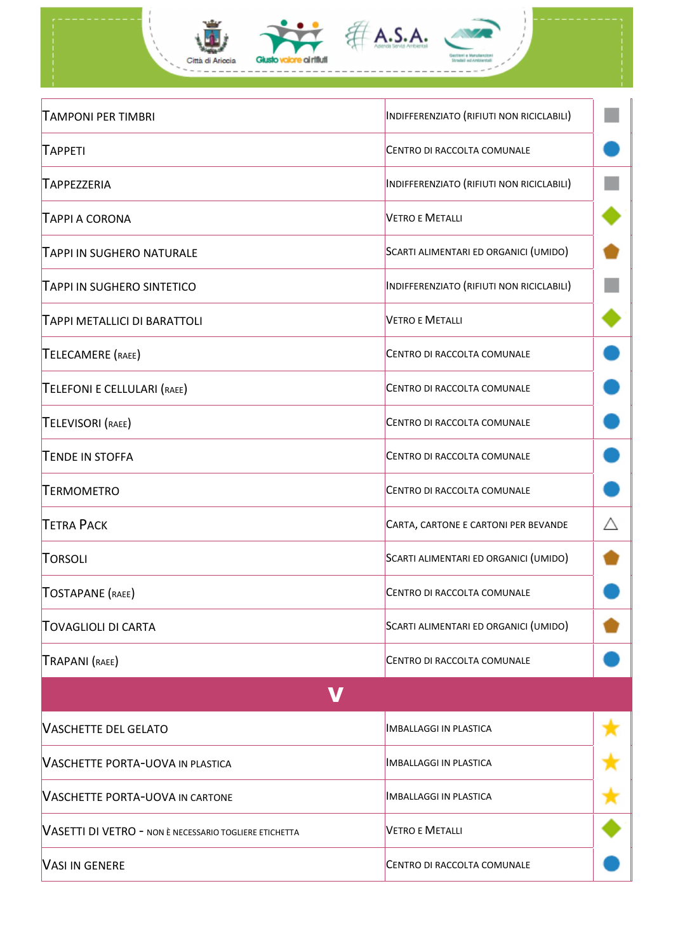